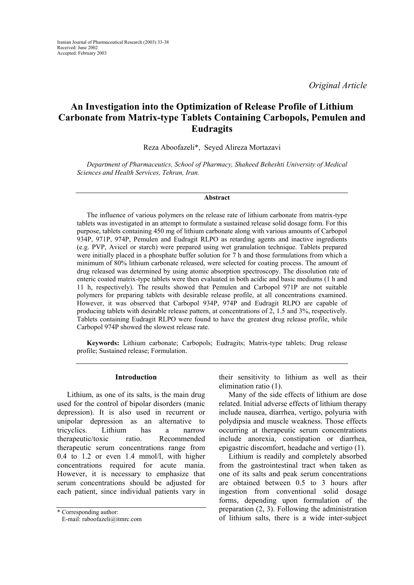*Original Article* 

# **An Investigation into the Optimization of Release Profile of Lithium Carbonate from Matrix-type Tablets Containing Carbopols, Pemulen and Eudragits**

Reza Aboofazeli\*, Seyed Alireza Mortazavi

*Department of Pharmaceutics, School of Pharmacy, Shaheed Beheshti University of Medical Sciences and Health Services, Tehran, Iran.* 

#### **Abstract**

The influence of various polymers on the release rate of lithium carbonate from matrix-type tablets was investigated in an attempt to formulate a sustained release solid dosage form. For this purpose, tablets containing 450 mg of lithium carbonate along with various amounts of Carbopol 934P, 971P, 974P, Pemulen and Eudragit RLPO as retarding agents and inactive ingredients (e.g. PVP, Avicel or starch) were prepared using wet granulation technique. Tablets prepared were initially placed in a phosphate buffer solution for 7 h and those formulations from which a minimum of 80% lithium carbonate released, were selected for coating process. The amount of drug released was determined by using atomic absorption spectroscopy. The dissolution rate of enteric coated matrix-type tablets were then evaluated in both acidic and basic mediums (1 h and 11 h, respectively). The results showed that Pemulen and Carbopol 971P are not suitable polymers for preparing tablets with desirable release profile, at all concentrations examined. However, it was observed that Carbopol 934P, 974P and Eudragit RLPO are capable of producing tablets with desirable release pattern, at concentrations of 2, 1.5 and 3%, respectively. Tablets containing Eudragit RLPO were found to have the greatest drug release profile, while Carbopol 974P showed the slowest release rate.

**Keywords:** Lithium carbonate; Carbopols; Eudragits; Matrix-type tablets; Drug release profile; Sustained release; Formulation.

# **Introduction**

Lithium, as one of its salts, is the main drug used for the control of bipolar disorders (manic depression). It is also used in recurrent or unipolar depression as an alternative to tricyclics. Lithium has a narrow therapeutic/toxic ratio. Recommended therapeutic serum concentrations range from 0.4 to 1.2 or even 1.4 mmol/l, with higher concentrations required for acute mania. However, it is necessary to emphasize that serum concentrations should be adjusted for each patient, since individual patients vary in their sensitivity to lithium as well as their elimination ratio (1).

Many of the side effects of lithium are dose related. Initial adverse effects of lithium therapy include nausea, diarrhea, vertigo, polyuria with polydipsia and muscle weakness. Those effects occurring at therapeutic serum concentrations include anorexia, constipation or diarrhea, epigastric discomfort, headache and vertigo (1).

Lithium is readily and completely absorbed from the gastrointestinal tract when taken as one of its salts and peak serum concentrations are obtained between 0.5 to 3 hours after ingestion from conventional solid dosage forms, depending upon formulation of the preparation (2, 3). Following the administration \* Corresponding author:<br>
E-mail: raboofazeli@itmrc.com **and the inter-subject** of lithium salts, there is a wide inter-subject

E-mail: raboofazeli@itmrc.com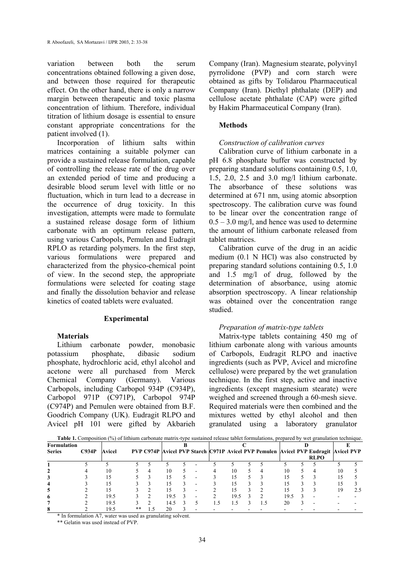variation between both the serum concentrations obtained following a given dose, and between those required for therapeutic effect. On the other hand, there is only a narrow margin between therapeutic and toxic plasma concentration of lithium. Therefore, individual titration of lithium dosage is essential to ensure constant appropriate concentrations for the patient involved (1).

Incorporation of lithium salts within matrices containing a suitable polymer can provide a sustained release formulation, capable of controlling the release rate of the drug over an extended period of time and producing a desirable blood serum level with little or no fluctuation, which in turn lead to a decrease in the occurrence of drug toxicity. In this investigation, attempts were made to formulate a sustained release dosage form of lithium carbonate with an optimum release pattern, using various Carbopols, Pemulen and Eudragit RPLO as retarding polymers. In the first step, various formulations were prepared and characterized from the physico-chemical point of view. In the second step, the appropriate formulations were selected for coating stage and finally the dissolution behavior and release kinetics of coated tablets were evaluated.

#### **Experimental**

#### **Materials**

Lithium carbonate powder, monobasic potassium phosphate, dibasic sodium phosphate, hydrochloric acid, ethyl alcohol and acetone were all purchased from Merck Chemical Company (Germany). Various Carbopols, including Carbopol 934P (C934P), Carbopol 971P (C971P), Carbopol 974P (C974P) and Pemulen were obtained from B.F. Goodrich Company (UK). Eudragit RLPO and Avicel pH 101 were gifted by Akbarieh

Company (Iran). Magnesium stearate, polyvinyl pyrrolidone (PVP) and corn starch were obtained as gifts by Tolidarou Pharmaceutical Company (Iran). Diethyl phthalate (DEP) and cellulose acetate phthalate (CAP) were gifted by Hakim Pharmaceutical Company (Iran).

## **Methods**

## *Construction of calibration curves*

Calibration curve of lithium carbonate in a pH 6.8 phosphate buffer was constructed by preparing standard solutions containing 0.5, 1.0, 1.5, 2.0, 2.5 and 3.0 mg/l lithium carbonate. The absorbance of these solutions was determined at 671 nm, using atomic absorption spectroscopy. The calibration curve was found to be linear over the concentration range of  $0.5 - 3.0$  mg/l, and hence was used to determine the amount of lithium carbonate released from tablet matrices.

Calibration curve of the drug in an acidic medium (0.1 N HCl) was also constructed by preparing standard solutions containing 0.5, 1.0 and 1.5 mg/l of drug, followed by the determination of absorbance, using atomic absorption spectroscopy. A linear relationship was obtained over the concentration range studied.

#### *Preparation of matrix-type tablets*

Matrix-type tablets containing 450 mg of lithium carbonate along with various amounts of Carbopols, Eudragit RLPO and inactive ingredients (such as PVP, Avicel and microfine cellulose) were prepared by the wet granulation technique. In the first step, active and inactive ingredients (except magnesium stearate) were weighed and screened through a 60-mesh sieve. Required materials were then combined and the mixtures wetted by ethyl alcohol and then granulated using a laboratory granulator

| <b>Table 1.</b> Composition (%) of lithium carbonate matrix-type sustained release tablet formulations, prepared by wet granulation technique. |       |        |    |  |      |  |   |  |     |  |          |     |  |                                                                                     |    |  |
|------------------------------------------------------------------------------------------------------------------------------------------------|-------|--------|----|--|------|--|---|--|-----|--|----------|-----|--|-------------------------------------------------------------------------------------|----|--|
| Formulation                                                                                                                                    |       |        |    |  |      |  |   |  |     |  |          |     |  |                                                                                     |    |  |
| <b>Series</b>                                                                                                                                  | C934P | Avicel |    |  |      |  |   |  |     |  |          |     |  | PVP C974P Avicel PVP Starch C971P Avicel PVP Pemulen Avicel PVP Eudragit Avicel PVP |    |  |
|                                                                                                                                                |       |        |    |  |      |  |   |  |     |  |          |     |  | <b>RLPO</b>                                                                         |    |  |
|                                                                                                                                                |       |        |    |  |      |  |   |  |     |  |          |     |  |                                                                                     |    |  |
|                                                                                                                                                |       | 10     |    |  |      |  |   |  | 10  |  | $\Delta$ | 10  |  | 4                                                                                   | 10 |  |
|                                                                                                                                                |       |        |    |  |      |  | - |  | 15  |  |          |     |  |                                                                                     |    |  |
|                                                                                                                                                |       |        |    |  |      |  |   |  | 15  |  |          |     |  |                                                                                     |    |  |
| 5                                                                                                                                              |       | 15     |    |  |      |  |   |  | 15  |  |          |     |  |                                                                                     | 19 |  |
| 6                                                                                                                                              |       | 19.5   |    |  | 19.5 |  | - |  | 195 |  |          | 195 |  |                                                                                     |    |  |
|                                                                                                                                                |       | 19.5   |    |  | 14.5 |  |   |  | 1.5 |  |          | 20  |  |                                                                                     |    |  |
|                                                                                                                                                |       | 19.5   | ** |  | 20   |  |   |  |     |  |          |     |  |                                                                                     |    |  |

\* In formulation A7, water was used as granulating solvent.

\*\* Gelatin was used instead of PVP.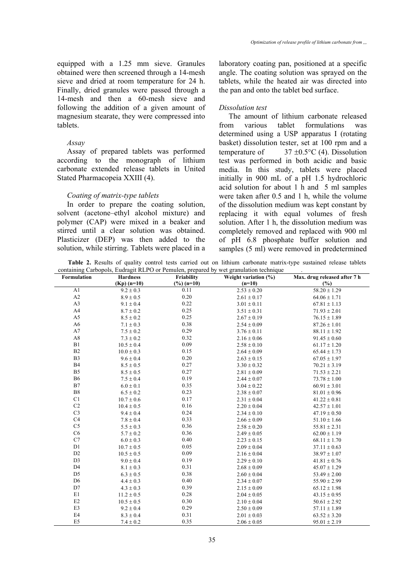equipped with a 1.25 mm sieve. Granules obtained were then screened through a 14-mesh sieve and dried at room temperature for 24 h. Finally, dried granules were passed through a 14-mesh and then a 60-mesh sieve and following the addition of a given amount of magnesium stearate, they were compressed into tablets.

## *Assay*

Assay of prepared tablets was performed according to the monograph of lithium carbonate extended release tablets in United Stated Pharmacopeia XXIII (4).

## *Coating of matrix-type tablets*

In order to prepare the coating solution, solvent (acetone–ethyl alcohol mixture) and polymer (CAP) were mixed in a beaker and stirred until a clear solution was obtained. Plasticizer (DEP) was then added to the solution, while stirring. Tablets were placed in a laboratory coating pan, positioned at a specific angle. The coating solution was sprayed on the tablets, while the heated air was directed into the pan and onto the tablet bed surface.

## *Dissolution test*

The amount of lithium carbonate released from various tablet formulations was determined using a USP apparatus I (rotating basket) dissolution tester, set at 100 rpm and a temperature of  $37 \pm 0.5$ °C (4). Dissolution test was performed in both acidic and basic media. In this study, tablets were placed initially in 900 mL of a pH 1.5 hydrochloric acid solution for about 1 h and 5 ml samples were taken after 0.5 and 1 h, while the volume of the dissolution medium was kept constant by replacing it with equal volumes of fresh solution. After 1 h, the dissolution medium was completely removed and replaced with 900 ml of pH 6.8 phosphate buffer solution and samples (5 ml) were removed in predetermined

**Table 2.** Results of quality control tests carried out on lithium carbonate matrix-type sustained release tablets containing Carbopols, Eudragit RLPO or Pemulen, prepared by wet granulation technique .

| Formulation    | <b>Hardness</b> | Friability             | Weight variation (%) | Max. drug released after 7 h |  |  |
|----------------|-----------------|------------------------|----------------------|------------------------------|--|--|
|                | $(Kp)$ (n=10)   | $(\frac{9}{6})$ (n=10) | $(n=10)$             | (%)                          |  |  |
| A1             | $9.2 \pm 0.3$   | 0.11                   | $2.53 \pm 0.20$      | $58.20 \pm 1.29$             |  |  |
| A2             | $8.9\pm0.5$     | 0.20                   | $2.61 \pm 0.17$      | $64.06 \pm 1.71$             |  |  |
| A3             | $9.1 \pm 0.4$   | 0.22                   | $3.01 \pm 0.11$      | $67.81 \pm 1.13$             |  |  |
| A4             | $8.7 \pm 0.2$   | 0.25                   | $3.51 \pm 0.31$      | $71.93 \pm 2.01$             |  |  |
| A5             | $8.5 \pm 0.2$   | 0.25                   | $2.67 \pm 0.19$      | $76.15 \pm 1.89$             |  |  |
| A <sub>6</sub> | $7.1 \pm 0.3$   | 0.38                   | $2.54 \pm 0.09$      | $87.26 \pm 1.01$             |  |  |
| A7             | $7.5 \pm 0.2$   | 0.29                   | $3.76 \pm 0.11$      | $88.11 \pm 1.92$             |  |  |
| A8             | $7.3 \pm 0.2$   | 0.32                   | $2.16 \pm 0.06$      | $91.45 \pm 0.60$             |  |  |
| B1             | $10.5 \pm 0.4$  | 0.09                   | $2.58 \pm 0.10$      | $61.17 \pm 1.20$             |  |  |
| B2             | $10.0 \pm 0.3$  | 0.15                   | $2.64 \pm 0.09$      | $65.44 \pm 1.73$             |  |  |
| B <sub>3</sub> | $9.6 \pm 0.4$   | 0.20                   | $2.63 \pm 0.15$      | $67.05 \pm 1.97$             |  |  |
| <b>B4</b>      | $8.5 \pm 0.5$   | 0.27                   | $3.30 \pm 0.32$      | $70.21 \pm 3.19$             |  |  |
| B <sub>5</sub> | $8.5 \pm 0.5$   | 0.27                   | $2.81 \pm 0.09$      | $71.53 \pm 2.21$             |  |  |
| <b>B6</b>      | $7.5 \pm 0.4$   | 0.19                   | $2.44 \pm 0.07$      | $73.78 \pm 1.00$             |  |  |
| B7             | $6.0 \pm 0.1$   | 0.35                   | $3.04 \pm 0.22$      | $60.91 \pm 3.01$             |  |  |
| ${\bf B}8$     | $6.5 \pm 0.2$   | 0.23                   | $2.38 \pm 0.07$      | $81.01 \pm 0.96$             |  |  |
| C1             | $10.7\pm0.6$    | 0.17                   | $2.31 \pm 0.04$      | $41.22 \pm 0.81$             |  |  |
| C <sub>2</sub> | $10.4 \pm 0.5$  | 0.16                   | $2.20 \pm 0.04$      | $42.57 \pm 1.01$             |  |  |
| C <sub>3</sub> | $9.4 \pm 0.4$   | 0.24                   | $2.34 \pm 0.10$      | $47.19 \pm 0.50$             |  |  |
| C4             | $7.8 \pm 0.4$   | 0.33                   | $2.66 \pm 0.09$      | $51.10 \pm 1.66$             |  |  |
| C <sub>5</sub> | $5.5 \pm 0.3$   | 0.36                   | $2.58 \pm 0.20$      | $55.81 \pm 2.31$             |  |  |
| C6             | $5.7 \pm 0.2$   | 0.36                   | $2.49 \pm 0.05$      | $62.00 \pm 1.19$             |  |  |
| C7             | $6.0 \pm 0.3$   | 0.40                   | $2.23 \pm 0.15$      | $68.11 \pm 1.70$             |  |  |
| D1             | $10.7 \pm 0.5$  | 0.05                   | $2.09 \pm 0.04$      | $37.11 \pm 0.63$             |  |  |
| D2             | $10.5 \pm 0.5$  | 0.09                   | $2.16 \pm 0.04$      | $38.97 \pm 1.07$             |  |  |
| D <sub>3</sub> | $9.0 \pm 0.4$   | 0.19                   | $2.29 \pm 0.10$      | $41.81 \pm 0.76$             |  |  |
| D <sub>4</sub> | $8.1 \pm 0.3$   | 0.31                   | $2.68 \pm 0.09$      | $45.07 \pm 1.29$             |  |  |
| D <sub>5</sub> | $6.3 \pm 0.5$   | 0.38                   | $2.60 \pm 0.04$      | $53.49 \pm 2.00$             |  |  |
| D <sub>6</sub> | $4.4 \pm 0.3$   | 0.40                   | $2.34 \pm 0.07$      | $55.90 \pm 2.99$             |  |  |
| D7             | $4.3 \pm 0.3$   | 0.39                   | $2.15 \pm 0.09$      | $65.12 \pm 1.98$             |  |  |
| E1             | $11.2 \pm 0.5$  | 0.28                   | $2.04 \pm 0.05$      | $43.15 \pm 0.95$             |  |  |
| E2             | $10.5 \pm 0.5$  | 0.30                   | $2.10 \pm 0.04$      | $50.61 \pm 2.92$             |  |  |
| E3             | $9.2 \pm 0.4$   | 0.29                   | $2.50 \pm 0.09$      | $57.11 \pm 1.89$             |  |  |
| E4             | $8.3 \pm 0.4$   | 0.31                   | $2.01 \pm 0.03$      | $63.52 \pm 3.20$             |  |  |
| E <sub>5</sub> | $7.4 \pm 0.2$   | 0.35                   | $2.06 \pm 0.05$      | $95.01 \pm 2.19$             |  |  |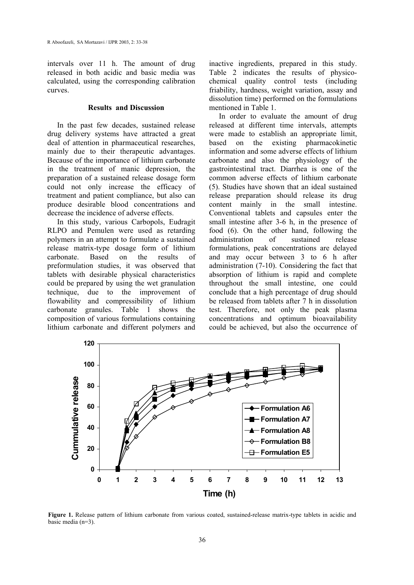intervals over 11 h. The amount of drug released in both acidic and basic media was calculated, using the corresponding calibration curves.

## **Results and Discussion**

In the past few decades, sustained release drug delivery systems have attracted a great deal of attention in pharmaceutical researches, mainly due to their therapeutic advantages. Because of the importance of lithium carbonate in the treatment of manic depression, the preparation of a sustained release dosage form could not only increase the efficacy of treatment and patient compliance, but also can produce desirable blood concentrations and decrease the incidence of adverse effects.

In this study, various Carbopols, Eudragit RLPO and Pemulen were used as retarding polymers in an attempt to formulate a sustained release matrix-type dosage form of lithium carbonate. Based on the results of preformulation studies, it was observed that tablets with desirable physical characteristics could be prepared by using the wet granulation technique, due to the improvement of flowability and compressibility of lithium carbonate granules. Table 1 shows the composition of various formulations containing lithium carbonate and different polymers and

inactive ingredients, prepared in this study. Table 2 indicates the results of physicochemical quality control tests (including friability, hardness, weight variation, assay and dissolution time) performed on the formulations mentioned in Table 1.

In order to evaluate the amount of drug released at different time intervals, attempts were made to establish an appropriate limit, based on the existing pharmacokinetic information and some adverse effects of lithium carbonate and also the physiology of the gastrointestinal tract. Diarrhea is one of the common adverse effects of lithium carbonate (5). Studies have shown that an ideal sustained release preparation should release its drug content mainly in the small intestine. Conventional tablets and capsules enter the small intestine after 3-6 h, in the presence of food (6). On the other hand, following the administration of sustained release formulations, peak concentrations are delayed and may occur between 3 to 6 h after administration (7-10). Considering the fact that absorption of lithium is rapid and complete throughout the small intestine, one could conclude that a high percentage of drug should be released from tablets after 7 h in dissolution test. Therefore, not only the peak plasma concentrations and optimum bioavailability could be achieved, but also the occurrence of



**Figure 1.** Release pattern of lithium carbonate from various coated, sustained-release matrix-type tablets in acidic and basic media (n=3).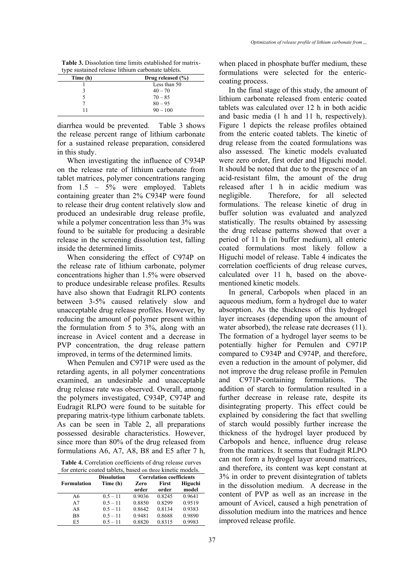**Table 3.** Dissolution time limits established for matrixtype sustained release lithium carbonate tablets.

| vype babanitea refeabe fiamam earbonate acoreas: |  |  |  |  |
|--------------------------------------------------|--|--|--|--|
| Drug released $(\% )$                            |  |  |  |  |
| Less than 50                                     |  |  |  |  |
| $40 - 70$                                        |  |  |  |  |
| $70 - 85$                                        |  |  |  |  |
| $80 - 95$                                        |  |  |  |  |
| $90 - 100$                                       |  |  |  |  |
|                                                  |  |  |  |  |

diarrhea would be prevented. Table 3 shows the release percent range of lithium carbonate for a sustained release preparation, considered in this study.

When investigating the influence of C934P on the release rate of lithium carbonate from tablet matrices, polymer concentrations ranging from 1.5 – 5% were employed. Tablets containing greater than 2% C934P were found to release their drug content relatively slow and produced an undesirable drug release profile, while a polymer concentration less than  $3\%$  was found to be suitable for producing a desirable release in the screening dissolution test, falling inside the determined limits.

When considering the effect of C974P on the release rate of lithium carbonate, polymer concentrations higher than 1.5% were observed to produce undesirable release profiles. Results have also shown that Eudragit RLPO contents between 3-5% caused relatively slow and unacceptable drug release profiles. However, by reducing the amount of polymer present within the formulation from 5 to 3%, along with an increase in Avicel content and a decrease in PVP concentration, the drug release pattern improved, in terms of the determined limits.

When Pemulen and C971P were used as the retarding agents, in all polymer concentrations examined, an undesirable and unacceptable drug release rate was observed. Overall, among the polymers investigated, C934P, C974P and Eudragit RLPO were found to be suitable for preparing matrix-type lithium carbonate tablets. As can be seen in Table 2, all preparations possessed desirable characteristics. However, since more than 80% of the drug released from formulations A6, A7, A8, B8 and E5 after 7 h,

**Table 4.** Correlation coefficients of drug release curves for enteric coated tablets, based on three kinetic models.

|                    | <b>Dissolution</b> | <b>Correlation coefficients</b> |        |         |  |  |  |
|--------------------|--------------------|---------------------------------|--------|---------|--|--|--|
| <b>Formulation</b> | Time (h)           | Zero                            | First  | Higuchi |  |  |  |
|                    |                    | order                           | order  | model   |  |  |  |
| A6                 | $0.5 - 11$         | 0.9036                          | 0.8245 | 0.9641  |  |  |  |
| A7                 | $0.5 - 11$         | 0.8850                          | 0.8299 | 0.9519  |  |  |  |
| A8                 | $0.5 - 11$         | 0.8642                          | 0.8134 | 0.9383  |  |  |  |
| B8                 | $0.5 - 11$         | 0.9481                          | 0.8688 | 0.9890  |  |  |  |
| E5                 | $0.5 - 11$         | 0.8820                          | 0.8315 | 0.9983  |  |  |  |

when placed in phosphate buffer medium, these formulations were selected for the entericcoating process.

In the final stage of this study, the amount of lithium carbonate released from enteric coated tablets was calculated over 12 h in both acidic and basic media (1 h and 11 h, respectively). Figure 1 depicts the release profiles obtained from the enteric coated tablets. The kinetic of drug release from the coated formulations was also assessed. The kinetic models evaluated were zero order, first order and Higuchi model. It should be noted that due to the presence of an acid-resistant film, the amount of the drug released after 1 h in acidic medium was negligible. Therefore, for all selected formulations. The release kinetic of drug in buffer solution was evaluated and analyzed statistically. The results obtained by assessing the drug release patterns showed that over a period of 11 h (in buffer medium), all enteric coated formulations most likely follow a Higuchi model of release. Table 4 indicates the correlation coefficients of drug release curves, calculated over 11 h, based on the abovementioned kinetic models.

In general, Carbopols when placed in an aqueous medium, form a hydrogel due to water absorption. As the thickness of this hydrogel layer increases (depending upon the amount of water absorbed), the release rate decreases (11). The formation of a hydrogel layer seems to be potentially higher for Pemulen and C971P compared to C934P and C974P, and therefore, even a reduction in the amount of polymer, did not improve the drug release profile in Pemulen and C971P-containing formulations. The addition of starch to formulation resulted in a further decrease in release rate, despite its disintegrating property. This effect could be explained by considering the fact that swelling of starch would possibly further increase the thickness of the hydrogel layer produced by Carbopols and hence, influence drug release from the matrices. It seems that Eudragit RLPO can not form a hydrogel layer around matrices, and therefore, its content was kept constant at 3% in order to prevent disintegration of tablets in the dissolution medium. A decrease in the content of PVP as well as an increase in the amount of Avicel, caused a high penetration of dissolution medium into the matrices and hence improved release profile.